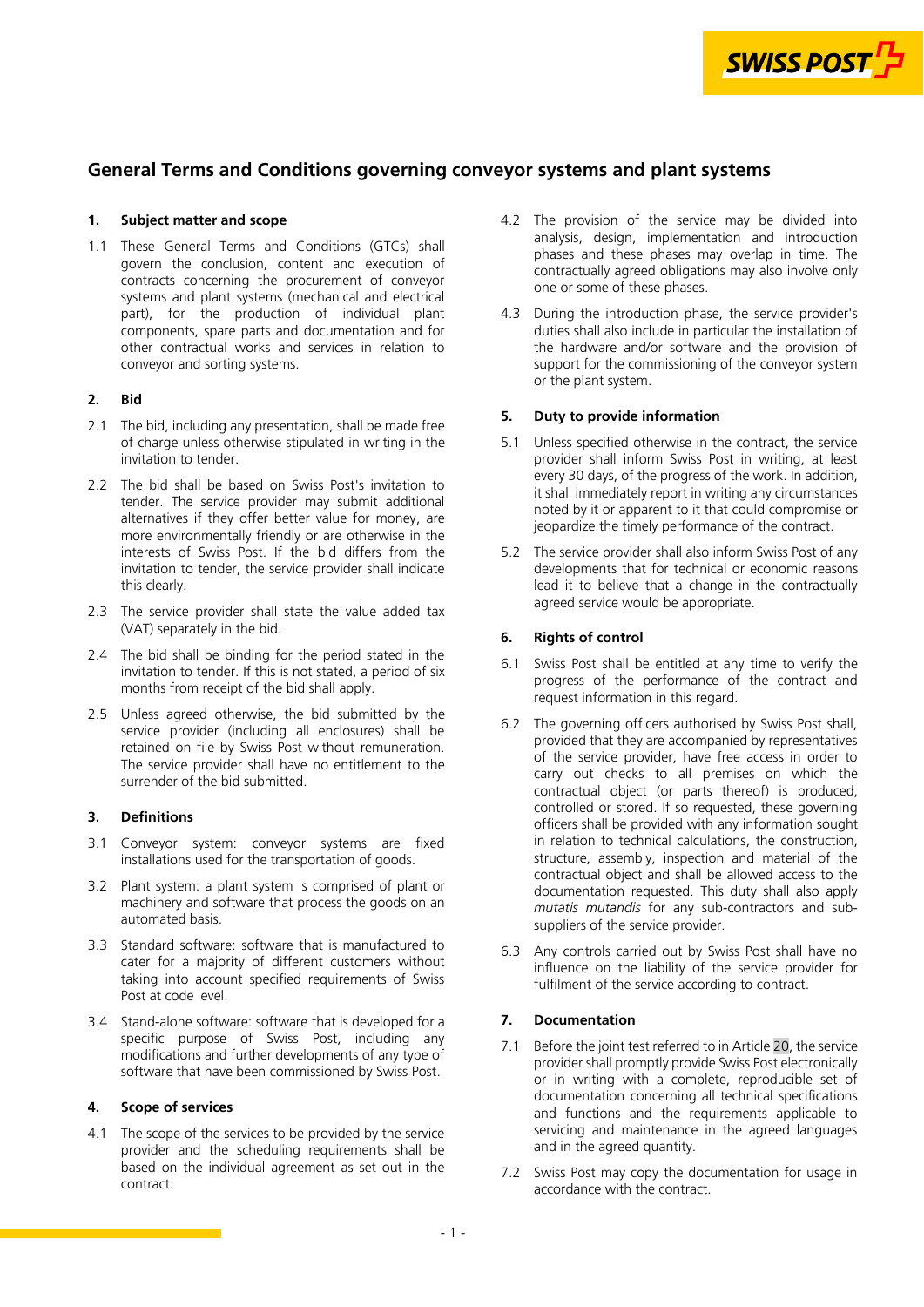

# **General Terms and Conditions governing conveyor systems and plant systems**

# **1. Subject matter and scope**

1.1 These General Terms and Conditions (GTCs) shall govern the conclusion, content and execution of contracts concerning the procurement of conveyor systems and plant systems (mechanical and electrical part), for the production of individual plant components, spare parts and documentation and for other contractual works and services in relation to conveyor and sorting systems.

### **2. Bid**

- 2.1 The bid, including any presentation, shall be made free of charge unless otherwise stipulated in writing in the invitation to tender.
- 2.2 The bid shall be based on Swiss Post's invitation to tender. The service provider may submit additional alternatives if they offer better value for money, are more environmentally friendly or are otherwise in the interests of Swiss Post. If the bid differs from the invitation to tender, the service provider shall indicate this clearly.
- 2.3 The service provider shall state the value added tax (VAT) separately in the bid.
- 2.4 The bid shall be binding for the period stated in the invitation to tender. If this is not stated, a period of six months from receipt of the bid shall apply.
- 2.5 Unless agreed otherwise, the bid submitted by the service provider (including all enclosures) shall be retained on file by Swiss Post without remuneration. The service provider shall have no entitlement to the surrender of the bid submitted.

# **3. Definitions**

- 3.1 Conveyor system: conveyor systems are fixed installations used for the transportation of goods.
- 3.2 Plant system: a plant system is comprised of plant or machinery and software that process the goods on an automated basis.
- 3.3 Standard software: software that is manufactured to cater for a majority of different customers without taking into account specified requirements of Swiss Post at code level.
- 3.4 Stand-alone software: software that is developed for a specific purpose of Swiss Post, including any modifications and further developments of any type of software that have been commissioned by Swiss Post.

#### **4. Scope of services**

4.1 The scope of the services to be provided by the service provider and the scheduling requirements shall be based on the individual agreement as set out in the contract.

- 4.2 The provision of the service may be divided into analysis, design, implementation and introduction phases and these phases may overlap in time. The contractually agreed obligations may also involve only one or some of these phases.
- 4.3 During the introduction phase, the service provider's duties shall also include in particular the installation of the hardware and/or software and the provision of support for the commissioning of the conveyor system or the plant system.

#### **5. Duty to provide information**

- 5.1 Unless specified otherwise in the contract, the service provider shall inform Swiss Post in writing, at least every 30 days, of the progress of the work. In addition, it shall immediately report in writing any circumstances noted by it or apparent to it that could compromise or jeopardize the timely performance of the contract.
- 5.2 The service provider shall also inform Swiss Post of any developments that for technical or economic reasons lead it to believe that a change in the contractually agreed service would be appropriate.

# **6. Rights of control**

- 6.1 Swiss Post shall be entitled at any time to verify the progress of the performance of the contract and request information in this regard.
- 6.2 The governing officers authorised by Swiss Post shall, provided that they are accompanied by representatives of the service provider, have free access in order to carry out checks to all premises on which the contractual object (or parts thereof) is produced, controlled or stored. If so requested, these governing officers shall be provided with any information sought in relation to technical calculations, the construction, structure, assembly, inspection and material of the contractual object and shall be allowed access to the documentation requested. This duty shall also apply *mutatis mutandis* for any sub-contractors and subsuppliers of the service provider.
- 6.3 Any controls carried out by Swiss Post shall have no influence on the liability of the service provider for fulfilment of the service according to contract.

# **7. Documentation**

- 7.1 Before the joint test referred to in Article [20,](#page-3-0) the service provider shall promptly provide Swiss Post electronically or in writing with a complete, reproducible set of documentation concerning all technical specifications and functions and the requirements applicable to servicing and maintenance in the agreed languages and in the agreed quantity.
- 7.2 Swiss Post may copy the documentation for usage in accordance with the contract.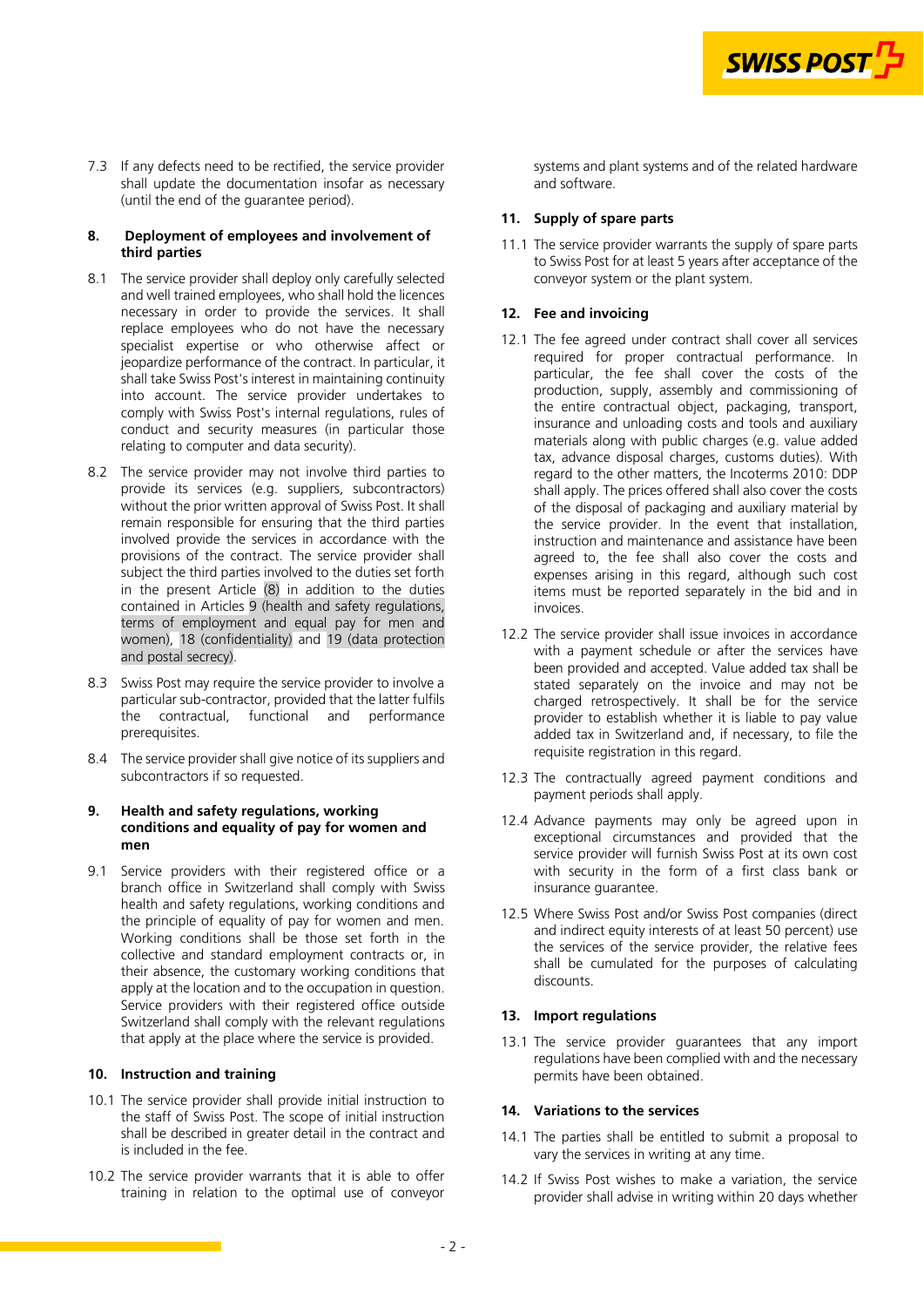

<span id="page-1-0"></span>7.3 If any defects need to be rectified, the service provider shall update the documentation insofar as necessary (until the end of the guarantee period).

## **8. Deployment of employees and involvement of third parties**

- 8.1 The service provider shall deploy only carefully selected and well trained employees, who shall hold the licences necessary in order to provide the services. It shall replace employees who do not have the necessary specialist expertise or who otherwise affect or jeopardize performance of the contract. In particular, it shall take Swiss Post's interest in maintaining continuity into account. The service provider undertakes to comply with Swiss Post's internal regulations, rules of conduct and security measures (in particular those relating to computer and data security).
- 8.2 The service provider may not involve third parties to provide its services (e.g. suppliers, subcontractors) without the prior written approval of Swiss Post. It shall remain responsible for ensuring that the third parties involved provide the services in accordance with the provisions of the contract. The service provider shall subject the third parties involved to the duties set forth in the present Article (8) in addition to the duties contained in Articles 9 (health and safety regulations, terms of employment and equal pay for men and [women\), 18 \(confidentiality\) and 19 \(data protection](#page-3-0)  and postal secrecy).
- 8.3 Swiss Post may require the service provider to involve a particular sub-contractor, provided that the latter fulfils the contractual, functional and performance prerequisites.
- 8.4 The service provider shall give notice of its suppliers and subcontractors if so requested.

#### **9. Health and safety regulations, working conditions and equality of pay for women and men**

9.1 Service providers with their registered office or a branch office in Switzerland shall comply with Swiss health and safety regulations, working conditions and the principle of equality of pay for women and men. Working conditions shall be those set forth in the collective and standard employment contracts or, in their absence, the customary working conditions that apply at the location and to the occupation in question. Service providers with their registered office outside Switzerland shall comply with the relevant regulations that apply at the place where the service is provided.

#### **10. Instruction and training**

- 10.1 The service provider shall provide initial instruction to the staff of Swiss Post. The scope of initial instruction shall be described in greater detail in the contract and is included in the fee.
- 10.2 The service provider warrants that it is able to offer training in relation to the optimal use of conveyor

systems and plant systems and of the related hardware and software.

# **11. Supply of spare parts**

11.1 The service provider warrants the supply of spare parts to Swiss Post for at least 5 years after acceptance of the conveyor system or the plant system.

### **12. Fee and invoicing**

- 12.1 The fee agreed under contract shall cover all services required for proper contractual performance. In particular, the fee shall cover the costs of the production, supply, assembly and commissioning of the entire contractual object, packaging, transport, insurance and unloading costs and tools and auxiliary materials along with public charges (e.g. value added tax, advance disposal charges, customs duties). With regard to the other matters, the Incoterms 2010: DDP shall apply. The prices offered shall also cover the costs of the disposal of packaging and auxiliary material by the service provider. In the event that installation, instruction and maintenance and assistance have been agreed to, the fee shall also cover the costs and expenses arising in this regard, although such cost items must be reported separately in the bid and in invoices.
- 12.2 The service provider shall issue invoices in accordance with a payment schedule or after the services have been provided and accepted. Value added tax shall be stated separately on the invoice and may not be charged retrospectively. It shall be for the service provider to establish whether it is liable to pay value added tax in Switzerland and, if necessary, to file the requisite registration in this regard.
- 12.3 The contractually agreed payment conditions and payment periods shall apply.
- 12.4 Advance payments may only be agreed upon in exceptional circumstances and provided that the service provider will furnish Swiss Post at its own cost with security in the form of a first class bank or insurance guarantee.
- 12.5 Where Swiss Post and/or Swiss Post companies (direct and indirect equity interests of at least 50 percent) use the services of the service provider, the relative fees shall be cumulated for the purposes of calculating discounts.

#### **13. Import regulations**

13.1 The service provider guarantees that any import regulations have been complied with and the necessary permits have been obtained.

# **14. Variations to the services**

- 14.1 The parties shall be entitled to submit a proposal to vary the services in writing at any time.
- 14.2 If Swiss Post wishes to make a variation, the service provider shall advise in writing within 20 days whether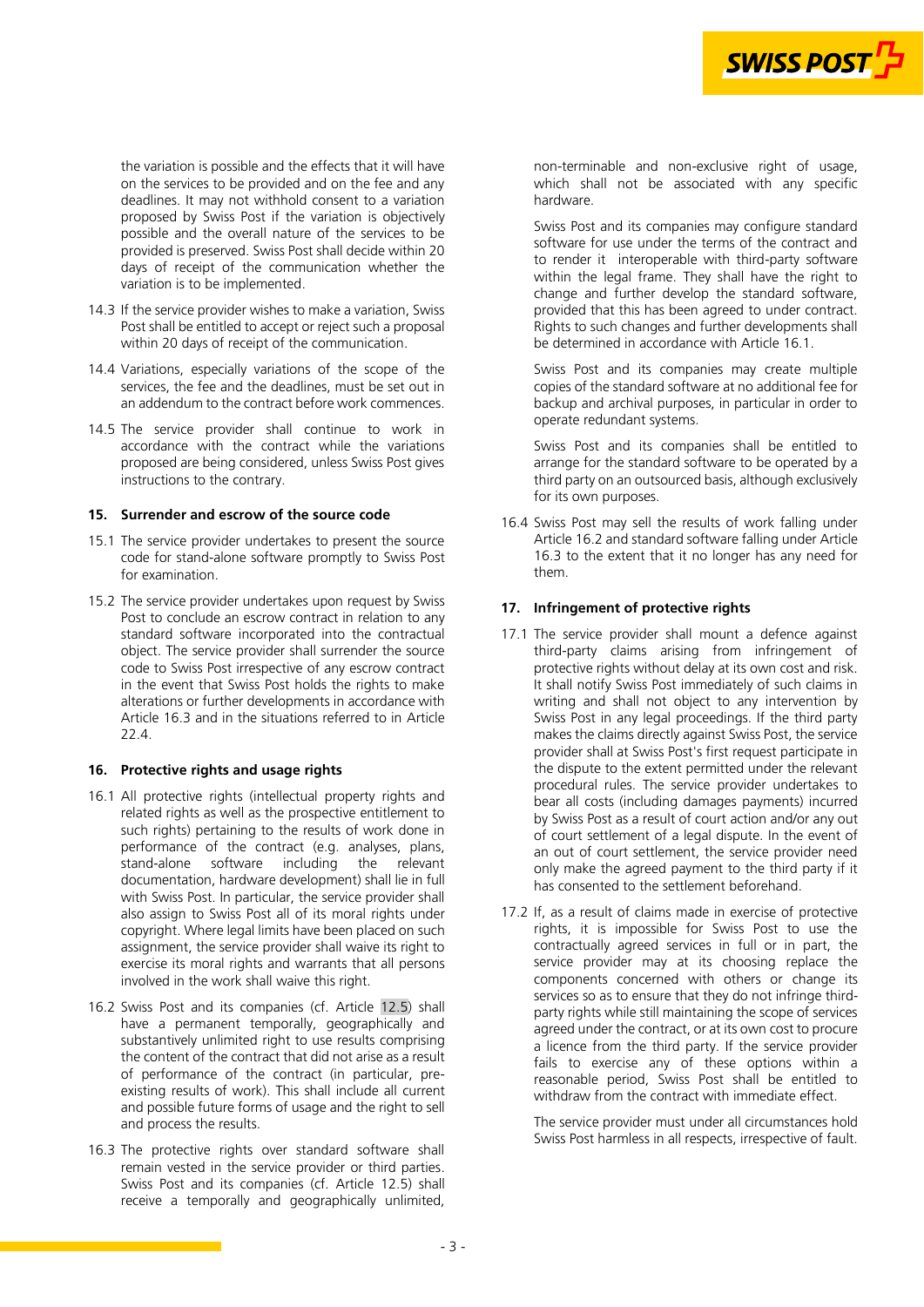

the variation is possible and the effects that it will have on the services to be provided and on the fee and any deadlines. It may not withhold consent to a variation proposed by Swiss Post if the variation is objectively possible and the overall nature of the services to be provided is preserved. Swiss Post shall decide within 20 days of receipt of the communication whether the variation is to be implemented.

- 14.3 If the service provider wishes to make a variation, Swiss Post shall be entitled to accept or reject such a proposal within 20 days of receipt of the communication.
- 14.4 Variations, especially variations of the scope of the services, the fee and the deadlines, must be set out in an addendum to the contract before work commences.
- 14.5 The service provider shall continue to work in accordance with the contract while the variations proposed are being considered, unless Swiss Post gives instructions to the contrary.

#### **15. Surrender and escrow of the source code**

- 15.1 The service provider undertakes to present the source code for stand-alone software promptly to Swiss Post for examination.
- 15.2 The service provider undertakes upon request by Swiss Post to conclude an escrow contract in relation to any standard software incorporated into the contractual object. The service provider shall surrender the source code to Swiss Post irrespective of any escrow contract in the event that Swiss Post holds the rights to make alterations or further developments in accordance with Article 16.3 and in the situations referred to in Article [22.4.](#page-4-0)

#### **16. Protective rights and usage rights**

- 16.1 All protective rights (intellectual property rights and related rights as well as the prospective entitlement to such rights) pertaining to the results of work done in performance of the contract (e.g. analyses, plans,<br>stand-alone software including the relevant stand-alone documentation, hardware development) shall lie in full with Swiss Post. In particular, the service provider shall also assign to Swiss Post all of its moral rights under copyright. Where legal limits have been placed on such assignment, the service provider shall waive its right to exercise its moral rights and warrants that all persons involved in the work shall waive this right.
- 16.2 Swiss Post and its companies (cf. Article [12.5](#page-1-0)) shall have a permanent temporally, geographically and substantively unlimited right to use results comprising the content of the contract that did not arise as a result of performance of the contract (in particular, preexisting results of work). This shall include all current and possible future forms of usage and the right to sell and process the results.
- 16.3 The protective rights over standard software shall remain vested in the service provider or third parties. Swiss Post and its companies (cf. Article [12.5](#page-1-0)) shall receive a temporally and geographically unlimited,

non-terminable and non-exclusive right of usage, which shall not be associated with any specific hardware.

Swiss Post and its companies may configure standard software for use under the terms of the contract and to render it interoperable with third-party software within the legal frame. They shall have the right to change and further develop the standard software, provided that this has been agreed to under contract. Rights to such changes and further developments shall be determined in accordance with Article 16.1.

Swiss Post and its companies may create multiple copies of the standard software at no additional fee for backup and archival purposes, in particular in order to operate redundant systems.

Swiss Post and its companies shall be entitled to arrange for the standard software to be operated by a third party on an outsourced basis, although exclusively for its own purposes.

16.4 Swiss Post may sell the results of work falling under Article 16.2 and standard software falling under Article 16.3 to the extent that it no longer has any need for them.

#### **17. Infringement of protective rights**

- 17.1 The service provider shall mount a defence against third-party claims arising from infringement of protective rights without delay at its own cost and risk. It shall notify Swiss Post immediately of such claims in writing and shall not object to any intervention by Swiss Post in any legal proceedings. If the third party makes the claims directly against Swiss Post, the service provider shall at Swiss Post's first request participate in the dispute to the extent permitted under the relevant procedural rules. The service provider undertakes to bear all costs (including damages payments) incurred by Swiss Post as a result of court action and/or any out of court settlement of a legal dispute. In the event of an out of court settlement, the service provider need only make the agreed payment to the third party if it has consented to the settlement beforehand.
- 17.2 If, as a result of claims made in exercise of protective rights, it is impossible for Swiss Post to use the contractually agreed services in full or in part, the service provider may at its choosing replace the components concerned with others or change its services so as to ensure that they do not infringe thirdparty rights while still maintaining the scope of services agreed under the contract, or at its own cost to procure a licence from the third party. If the service provider fails to exercise any of these options within a reasonable period, Swiss Post shall be entitled to withdraw from the contract with immediate effect.

The service provider must under all circumstances hold Swiss Post harmless in all respects, irrespective of fault.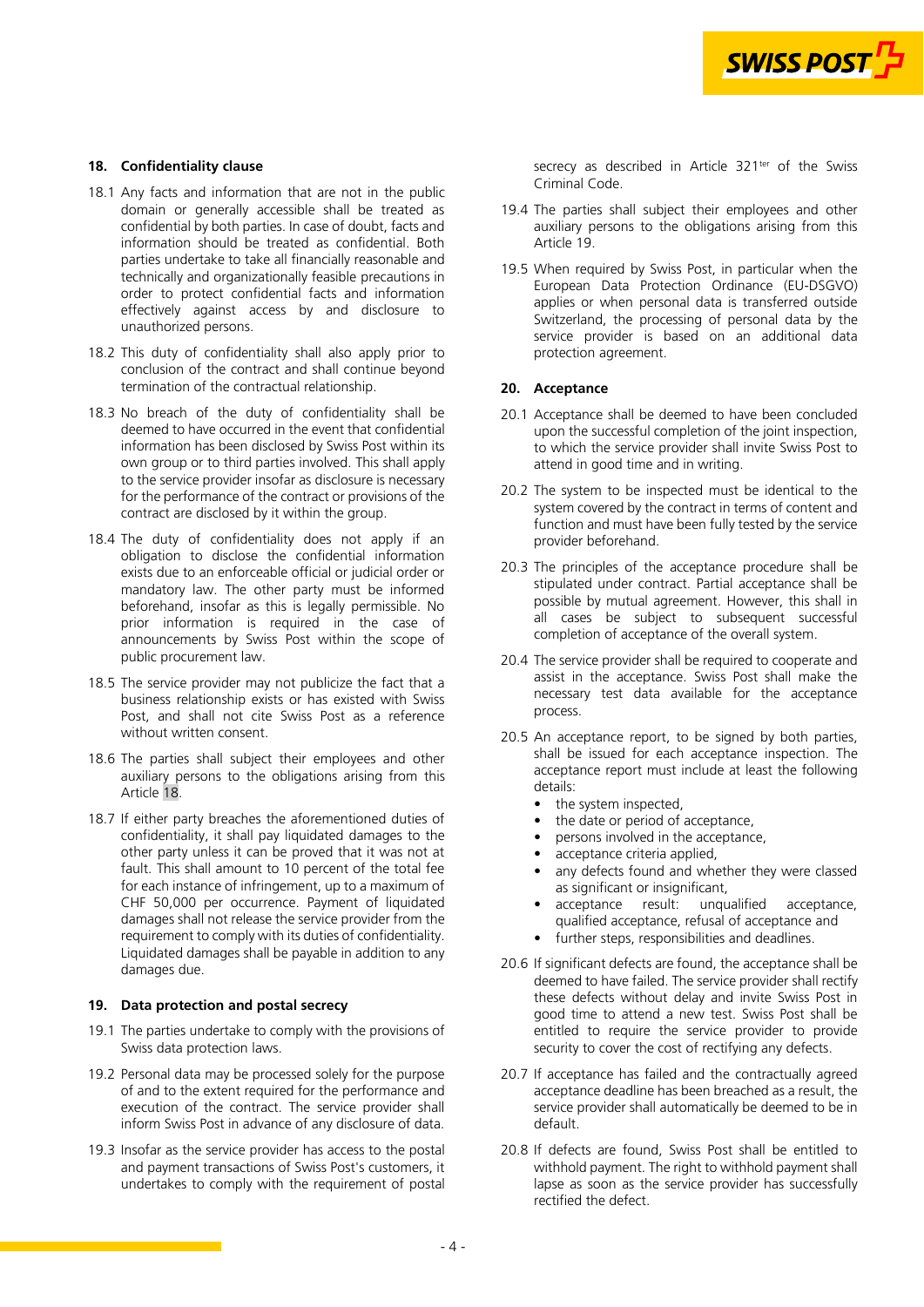

### <span id="page-3-0"></span>**18. Confidentiality clause**

- 18.1 Any facts and information that are not in the public domain or generally accessible shall be treated as confidential by both parties. In case of doubt, facts and information should be treated as confidential. Both parties undertake to take all financially reasonable and technically and organizationally feasible precautions in order to protect confidential facts and information effectively against access by and disclosure to unauthorized persons.
- 18.2 This duty of confidentiality shall also apply prior to conclusion of the contract and shall continue beyond termination of the contractual relationship.
- 18.3 No breach of the duty of confidentiality shall be deemed to have occurred in the event that confidential information has been disclosed by Swiss Post within its own group or to third parties involved. This shall apply to the service provider insofar as disclosure is necessary for the performance of the contract or provisions of the contract are disclosed by it within the group.
- 18.4 The duty of confidentiality does not apply if an obligation to disclose the confidential information exists due to an enforceable official or judicial order or mandatory law. The other party must be informed beforehand, insofar as this is legally permissible. No prior information is required in the case of announcements by Swiss Post within the scope of public procurement law.
- 18.5 The service provider may not publicize the fact that a business relationship exists or has existed with Swiss Post, and shall not cite Swiss Post as a reference without written consent.
- 18.6 The parties shall subject their employees and other auxiliary persons to the obligations arising from this Article 18.
- 18.7 If either party breaches the aforementioned duties of confidentiality, it shall pay liquidated damages to the other party unless it can be proved that it was not at fault. This shall amount to 10 percent of the total fee for each instance of infringement, up to a maximum of CHF 50,000 per occurrence. Payment of liquidated damages shall not release the service provider from the requirement to comply with its duties of confidentiality. Liquidated damages shall be payable in addition to any damages due.

#### **19. Data protection and postal secrecy**

- 19.1 The parties undertake to comply with the provisions of Swiss data protection laws.
- 19.2 Personal data may be processed solely for the purpose of and to the extent required for the performance and execution of the contract. The service provider shall inform Swiss Post in advance of any disclosure of data.
- 19.3 Insofar as the service provider has access to the postal and payment transactions of Swiss Post's customers, it undertakes to comply with the requirement of postal

secrecy as described in Article 321<sup>ter</sup> of the Swiss Criminal Code.

- 19.4 The parties shall subject their employees and other auxiliary persons to the obligations arising from this Article 19.
- 19.5 When required by Swiss Post, in particular when the European Data Protection Ordinance (EU-DSGVO) applies or when personal data is transferred outside Switzerland, the processing of personal data by the service provider is based on an additional data protection agreement.

#### **20. Acceptance**

- 20.1 Acceptance shall be deemed to have been concluded upon the successful completion of the joint inspection, to which the service provider shall invite Swiss Post to attend in good time and in writing.
- 20.2 The system to be inspected must be identical to the system covered by the contract in terms of content and function and must have been fully tested by the service provider beforehand.
- 20.3 The principles of the acceptance procedure shall be stipulated under contract. Partial acceptance shall be possible by mutual agreement. However, this shall in all cases be subject to subsequent successful completion of acceptance of the overall system.
- 20.4 The service provider shall be required to cooperate and assist in the acceptance. Swiss Post shall make the necessary test data available for the acceptance process.
- 20.5 An acceptance report, to be signed by both parties, shall be issued for each acceptance inspection. The acceptance report must include at least the following details:
	- the system inspected,
	- the date or period of acceptance,
	- persons involved in the acceptance,
	- acceptance criteria applied,
	- any defects found and whether they were classed as significant or insignificant,
	- acceptance result: unqualified acceptance, qualified acceptance, refusal of acceptance and
	- further steps, responsibilities and deadlines.
- 20.6 If significant defects are found, the acceptance shall be deemed to have failed. The service provider shall rectify these defects without delay and invite Swiss Post in good time to attend a new test. Swiss Post shall be entitled to require the service provider to provide security to cover the cost of rectifying any defects.
- 20.7 If acceptance has failed and the contractually agreed acceptance deadline has been breached as a result, the service provider shall automatically be deemed to be in default.
- 20.8 If defects are found, Swiss Post shall be entitled to withhold payment. The right to withhold payment shall lapse as soon as the service provider has successfully rectified the defect.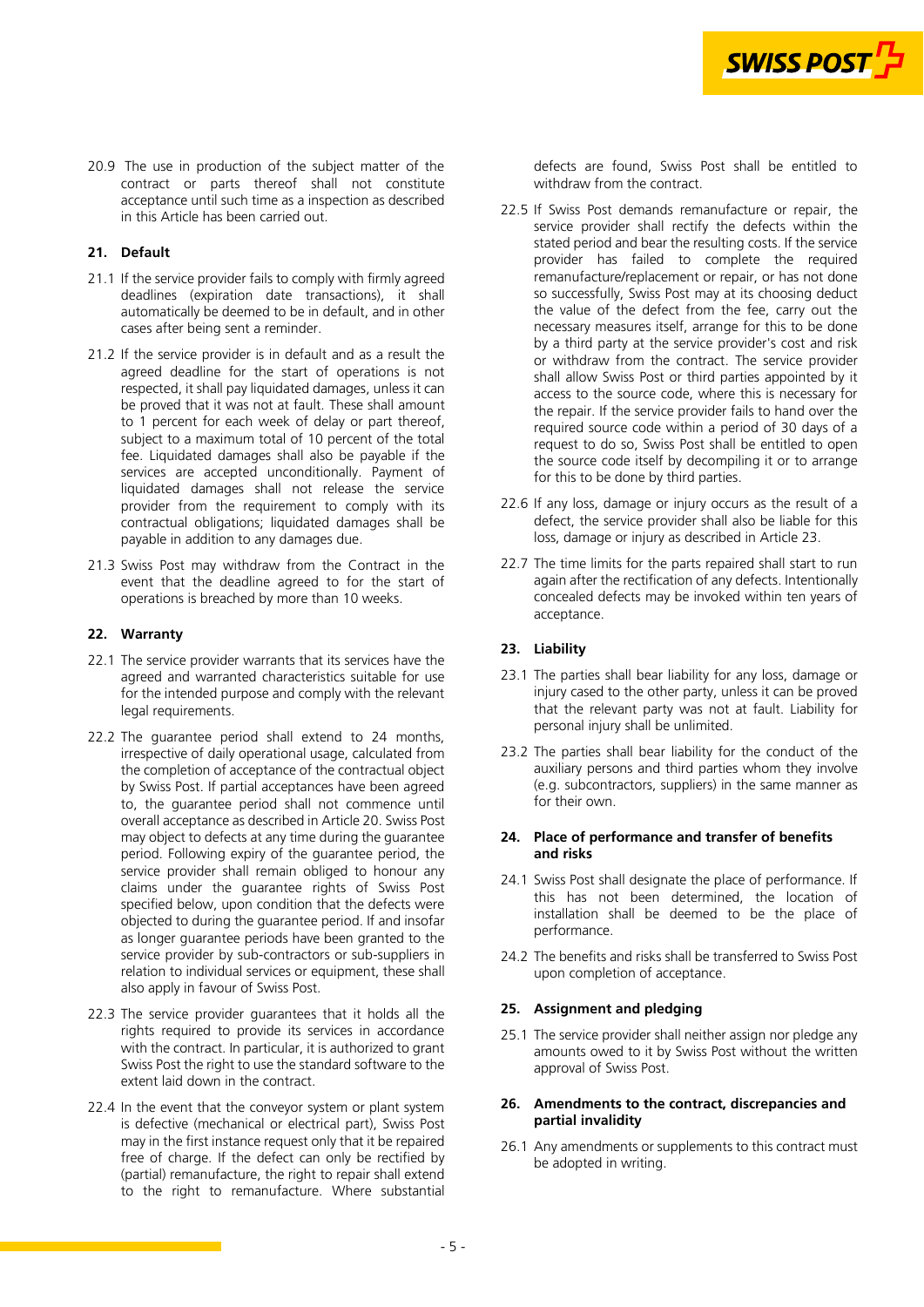

<span id="page-4-0"></span>20.9 The use in production of the subject matter of the contract or parts thereof shall not constitute acceptance until such time as a inspection as described in this Article has been carried out.

## **21. Default**

- 21.1 If the service provider fails to comply with firmly agreed deadlines (expiration date transactions), it shall automatically be deemed to be in default, and in other cases after being sent a reminder.
- 21.2 If the service provider is in default and as a result the agreed deadline for the start of operations is not respected, it shall pay liquidated damages, unless it can be proved that it was not at fault. These shall amount to 1 percent for each week of delay or part thereof, subject to a maximum total of 10 percent of the total fee. Liquidated damages shall also be payable if the services are accepted unconditionally. Payment of liquidated damages shall not release the service provider from the requirement to comply with its contractual obligations; liquidated damages shall be payable in addition to any damages due.
- 21.3 Swiss Post may withdraw from the Contract in the event that the deadline agreed to for the start of operations is breached by more than 10 weeks.

# **22. Warranty**

- 22.1 The service provider warrants that its services have the agreed and warranted characteristics suitable for use for the intended purpose and comply with the relevant legal requirements.
- 22.2 The guarantee period shall extend to 24 months, irrespective of daily operational usage, calculated from the completion of acceptance of the contractual object by Swiss Post. If partial acceptances have been agreed to, the guarantee period shall not commence until overall acceptance as described in Article [20](#page-3-0). Swiss Post may object to defects at any time during the guarantee period. Following expiry of the guarantee period, the service provider shall remain obliged to honour any claims under the guarantee rights of Swiss Post specified below, upon condition that the defects were objected to during the guarantee period. If and insofar as longer guarantee periods have been granted to the service provider by sub-contractors or sub-suppliers in relation to individual services or equipment, these shall also apply in favour of Swiss Post.
- 22.3 The service provider guarantees that it holds all the rights required to provide its services in accordance with the contract. In particular, it is authorized to grant Swiss Post the right to use the standard software to the extent laid down in the contract.
- 22.4 In the event that the conveyor system or plant system is defective (mechanical or electrical part), Swiss Post may in the first instance request only that it be repaired free of charge. If the defect can only be rectified by (partial) remanufacture, the right to repair shall extend to the right to remanufacture. Where substantial

defects are found, Swiss Post shall be entitled to withdraw from the contract.

- 22.5 If Swiss Post demands remanufacture or repair, the service provider shall rectify the defects within the stated period and bear the resulting costs. If the service provider has failed to complete the required remanufacture/replacement or repair, or has not done so successfully, Swiss Post may at its choosing deduct the value of the defect from the fee, carry out the necessary measures itself, arrange for this to be done by a third party at the service provider's cost and risk or withdraw from the contract. The service provider shall allow Swiss Post or third parties appointed by it access to the source code, where this is necessary for the repair. If the service provider fails to hand over the required source code within a period of 30 days of a request to do so, Swiss Post shall be entitled to open the source code itself by decompiling it or to arrange for this to be done by third parties.
- 22.6 If any loss, damage or injury occurs as the result of a defect, the service provider shall also be liable for this loss, damage or injury as described in Article 23.
- 22.7 The time limits for the parts repaired shall start to run again after the rectification of any defects. Intentionally concealed defects may be invoked within ten years of acceptance.

# **23. Liability**

- 23.1 The parties shall bear liability for any loss, damage or injury cased to the other party, unless it can be proved that the relevant party was not at fault. Liability for personal injury shall be unlimited.
- 23.2 The parties shall bear liability for the conduct of the auxiliary persons and third parties whom they involve (e.g. subcontractors, suppliers) in the same manner as for their own.

#### **24. Place of performance and transfer of benefits and risks**

- 24.1 Swiss Post shall designate the place of performance. If this has not been determined, the location of installation shall be deemed to be the place of performance.
- 24.2 The benefits and risks shall be transferred to Swiss Post upon completion of acceptance.

#### **25. Assignment and pledging**

25.1 The service provider shall neither assign nor pledge any amounts owed to it by Swiss Post without the written approval of Swiss Post.

#### **26. Amendments to the contract, discrepancies and partial invalidity**

26.1 Any amendments or supplements to this contract must be adopted in writing.